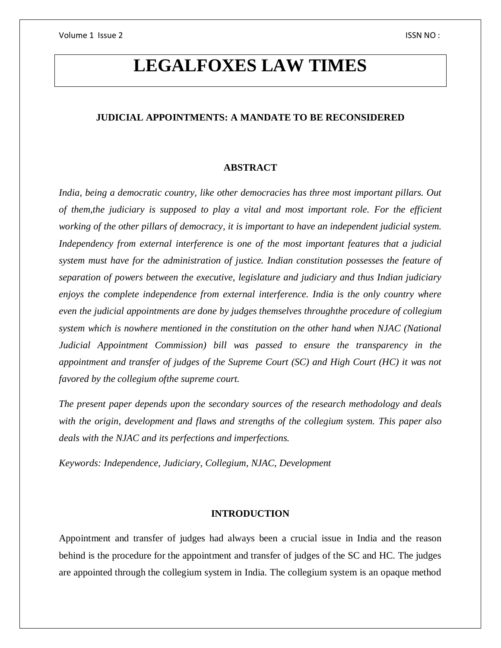# **LEGALFOXES LAW TIMES**

# **JUDICIAL APPOINTMENTS: A MANDATE TO BE RECONSIDERED**

# **ABSTRACT**

*India, being a democratic country, like other democracies has three most important pillars. Out of them,the judiciary is supposed to play a vital and most important role. For the efficient working of the other pillars of democracy, it is important to have an independent judicial system. Independency from external interference is one of the most important features that a judicial system must have for the administration of justice. Indian constitution possesses the feature of separation of powers between the executive, legislature and judiciary and thus Indian judiciary enjoys the complete independence from external interference. India is the only country where even the judicial appointments are done by judges themselves throughthe procedure of collegium system which is nowhere mentioned in the constitution on the other hand when NJAC (National Judicial Appointment Commission) bill was passed to ensure the transparency in the appointment and transfer of judges of the Supreme Court (SC) and High Court (HC) it was not favored by the collegium ofthe supreme court.* 

*The present paper depends upon the secondary sources of the research methodology and deals with the origin, development and flaws and strengths of the collegium system. This paper also deals with the NJAC and its perfections and imperfections.*

*Keywords: Independence, Judiciary, Collegium, NJAC, Development*

# **INTRODUCTION**

Appointment and transfer of judges had always been a crucial issue in India and the reason behind is the procedure for the appointment and transfer of judges of the SC and HC. The judges are appointed through the collegium system in India. The collegium system is an opaque method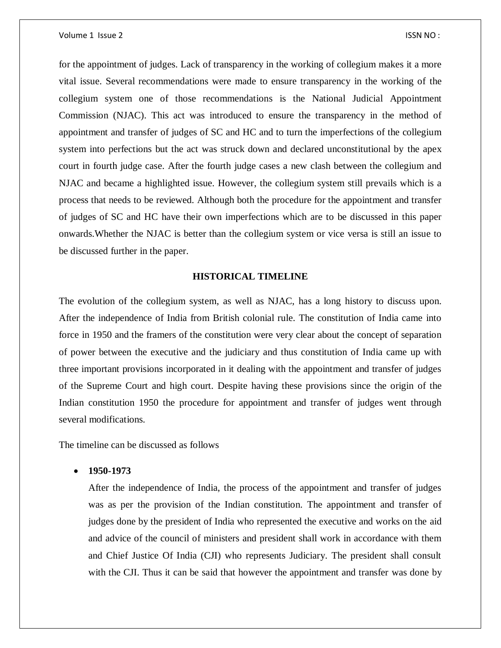#### Volume 1 Issue 2 ISSN NO :

for the appointment of judges. Lack of transparency in the working of collegium makes it a more vital issue. Several recommendations were made to ensure transparency in the working of the collegium system one of those recommendations is the National Judicial Appointment Commission (NJAC). This act was introduced to ensure the transparency in the method of appointment and transfer of judges of SC and HC and to turn the imperfections of the collegium system into perfections but the act was struck down and declared unconstitutional by the apex court in fourth judge case. After the fourth judge cases a new clash between the collegium and NJAC and became a highlighted issue. However, the collegium system still prevails which is a process that needs to be reviewed. Although both the procedure for the appointment and transfer of judges of SC and HC have their own imperfections which are to be discussed in this paper onwards.Whether the NJAC is better than the collegium system or vice versa is still an issue to be discussed further in the paper.

## **HISTORICAL TIMELINE**

The evolution of the collegium system, as well as NJAC, has a long history to discuss upon. After the independence of India from British colonial rule. The constitution of India came into force in 1950 and the framers of the constitution were very clear about the concept of separation of power between the executive and the judiciary and thus constitution of India came up with three important provisions incorporated in it dealing with the appointment and transfer of judges of the Supreme Court and high court. Despite having these provisions since the origin of the Indian constitution 1950 the procedure for appointment and transfer of judges went through several modifications.

The timeline can be discussed as follows

#### **1950-1973**

After the independence of India, the process of the appointment and transfer of judges was as per the provision of the Indian constitution. The appointment and transfer of judges done by the president of India who represented the executive and works on the aid and advice of the council of ministers and president shall work in accordance with them and Chief Justice Of India (CJI) who represents Judiciary. The president shall consult with the CJI. Thus it can be said that however the appointment and transfer was done by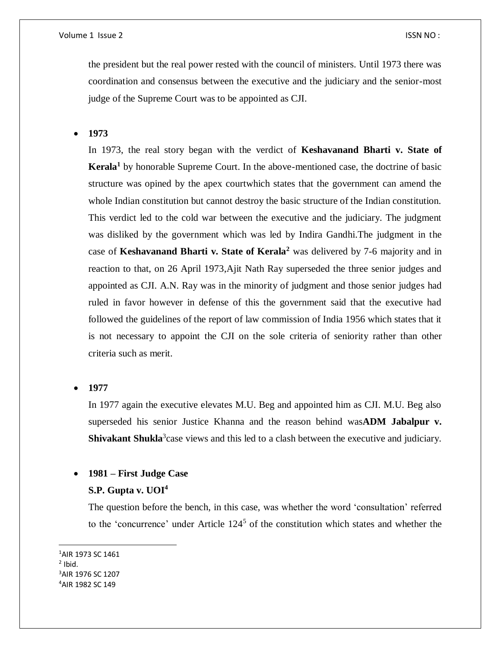the president but the real power rested with the council of ministers. Until 1973 there was coordination and consensus between the executive and the judiciary and the senior-most judge of the Supreme Court was to be appointed as CJI.

**1973**

In 1973, the real story began with the verdict of **Keshavanand Bharti v. State of Kerala<sup>1</sup>** by honorable Supreme Court. In the above-mentioned case, the doctrine of basic structure was opined by the apex courtwhich states that the government can amend the whole Indian constitution but cannot destroy the basic structure of the Indian constitution. This verdict led to the cold war between the executive and the judiciary. The judgment was disliked by the government which was led by Indira Gandhi.The judgment in the case of **Keshavanand Bharti v. State of Kerala<sup>2</sup>** was delivered by 7-6 majority and in reaction to that, on 26 April 1973,Ajit Nath Ray superseded the three senior judges and appointed as CJI. A.N. Ray was in the minority of judgment and those senior judges had ruled in favor however in defense of this the government said that the executive had followed the guidelines of the report of law commission of India 1956 which states that it is not necessary to appoint the CJI on the sole criteria of seniority rather than other criteria such as merit.

**1977**

In 1977 again the executive elevates M.U. Beg and appointed him as CJI. M.U. Beg also superseded his senior Justice Khanna and the reason behind was**ADM Jabalpur v.**  Shivakant Shukla<sup>3</sup> case views and this led to a clash between the executive and judiciary.

#### **1981 – First Judge Case**

#### **S.P. Gupta v. UOI<sup>4</sup>**

The question before the bench, in this case, was whether the word 'consultation' referred to the 'concurrence' under Article 124<sup>5</sup> of the constitution which states and whether the

AIR 1973 SC 1461  $<sup>2</sup>$  Ibid.</sup> AIR 1976 SC 1207 AIR 1982 SC 149

 $\overline{a}$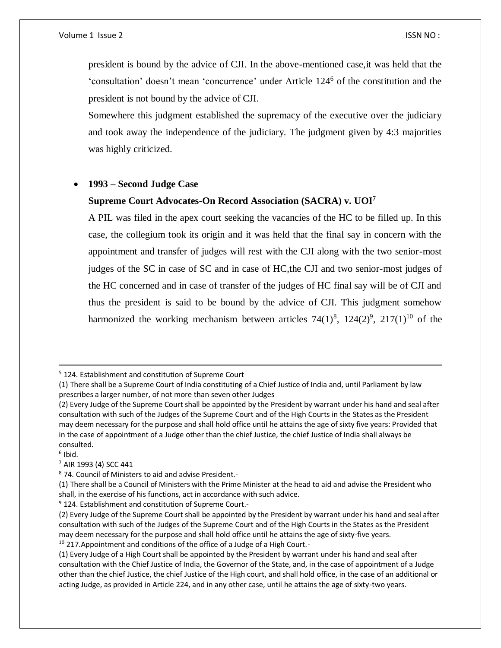president is bound by the advice of CJI. In the above-mentioned case,it was held that the 'consultation' doesn't mean 'concurrence' under Article 124<sup>6</sup> of the constitution and the president is not bound by the advice of CJI.

Somewhere this judgment established the supremacy of the executive over the judiciary and took away the independence of the judiciary. The judgment given by 4:3 majorities was highly criticized.

# **1993 – Second Judge Case**

#### **Supreme Court Advocates-On Record Association (SACRA) v. UOI<sup>7</sup>**

A PIL was filed in the apex court seeking the vacancies of the HC to be filled up. In this case, the collegium took its origin and it was held that the final say in concern with the appointment and transfer of judges will rest with the CJI along with the two senior-most judges of the SC in case of SC and in case of HC,the CJI and two senior-most judges of the HC concerned and in case of transfer of the judges of HC final say will be of CJI and thus the president is said to be bound by the advice of CJI. This judgment somehow harmonized the working mechanism between articles  $74(1)^8$ ,  $124(2)^9$ ,  $217(1)^{10}$  of the

6 Ibid.

 $\overline{\phantom{a}}$ 

 $7$  AIR 1993 (4) SCC 441

<sup>9</sup> 124. Establishment and constitution of Supreme Court.-

<sup>5</sup> 124. Establishment and constitution of Supreme Court

<sup>(1)</sup> There shall be a Supreme Court of India constituting of a Chief Justice of India and, until Parliament by law prescribes a larger number, of not more than seven other Judges

<sup>(2)</sup> Every Judge of the Supreme Court shall be appointed by the President by warrant under his hand and seal after consultation with such of the Judges of the Supreme Court and of the High Courts in the States as the President may deem necessary for the purpose and shall hold office until he attains the age of sixty five years: Provided that in the case of appointment of a Judge other than the chief Justice, the chief Justice of India shall always be consulted.

<sup>8</sup> 74. Council of Ministers to aid and advise President.-

<sup>(1)</sup> There shall be a Council of Ministers with the Prime Minister at the head to aid and advise the President who shall, in the exercise of his functions, act in accordance with such advice.

<sup>(2)</sup> Every Judge of the Supreme Court shall be appointed by the President by warrant under his hand and seal after consultation with such of the Judges of the Supreme Court and of the High Courts in the States as the President may deem necessary for the purpose and shall hold office until he attains the age of sixty-five years.

 $10$  217. Appointment and conditions of the office of a Judge of a High Court.-

<sup>(1)</sup> Every Judge of a High Court shall be appointed by the President by warrant under his hand and seal after consultation with the Chief Justice of India, the Governor of the State, and, in the case of appointment of a Judge other than the chief Justice, the chief Justice of the High court, and shall hold office, in the case of an additional or acting Judge, as provided in Article 224, and in any other case, until he attains the age of sixty-two years.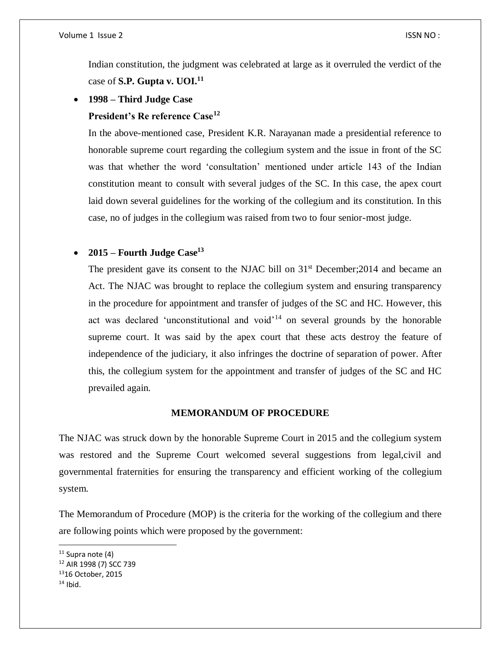Indian constitution, the judgment was celebrated at large as it overruled the verdict of the case of **S.P. Gupta v. UOI.<sup>11</sup>**

**1998 – Third Judge Case**

# **President's Re reference Case<sup>12</sup>**

In the above-mentioned case, President K.R. Narayanan made a presidential reference to honorable supreme court regarding the collegium system and the issue in front of the SC was that whether the word 'consultation' mentioned under article 143 of the Indian constitution meant to consult with several judges of the SC. In this case, the apex court laid down several guidelines for the working of the collegium and its constitution. In this case, no of judges in the collegium was raised from two to four senior-most judge.

# **2015 – Fourth Judge Case<sup>13</sup>**

The president gave its consent to the NJAC bill on  $31<sup>st</sup>$  December; 2014 and became an Act. The NJAC was brought to replace the collegium system and ensuring transparency in the procedure for appointment and transfer of judges of the SC and HC. However, this act was declared 'unconstitutional and void'<sup>14</sup> on several grounds by the honorable supreme court. It was said by the apex court that these acts destroy the feature of independence of the judiciary, it also infringes the doctrine of separation of power. After this, the collegium system for the appointment and transfer of judges of the SC and HC prevailed again.

# **MEMORANDUM OF PROCEDURE**

The NJAC was struck down by the honorable Supreme Court in 2015 and the collegium system was restored and the Supreme Court welcomed several suggestions from legal,civil and governmental fraternities for ensuring the transparency and efficient working of the collegium system.

The Memorandum of Procedure (MOP) is the criteria for the working of the collegium and there are following points which were proposed by the government:

 $\overline{a}$ 

 $11$  Supra note (4)

<sup>12</sup> AIR 1998 (7) SCC 739

<sup>13</sup>16 October, 2015

 $14$  Ibid.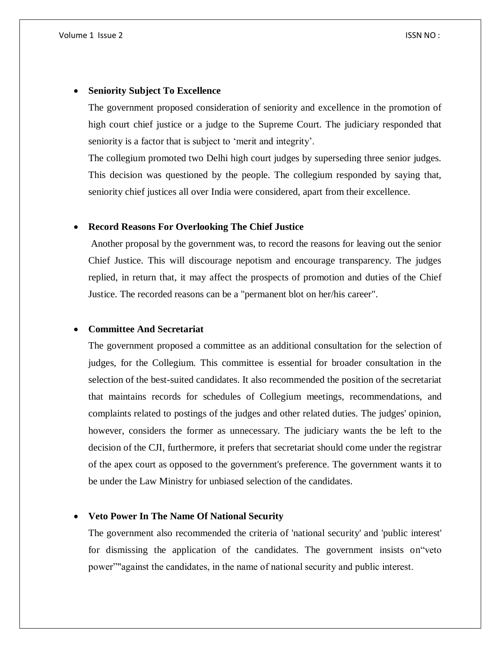#### **Seniority Subject To Excellence**

The government proposed consideration of seniority and excellence in the promotion of high court chief justice or a judge to the Supreme Court. The judiciary responded that seniority is a factor that is subject to 'merit and integrity'.

The collegium promoted two Delhi high court judges by superseding three senior judges. This decision was questioned by the people. The collegium responded by saying that, seniority chief justices all over India were considered, apart from their excellence.

# **Record Reasons For Overlooking The Chief Justice**

Another proposal by the government was, to record the reasons for leaving out the senior Chief Justice. This will discourage nepotism and encourage transparency. The judges replied, in return that, it may affect the prospects of promotion and duties of the Chief Justice. The recorded reasons can be a "permanent blot on her/his career".

# **Committee And Secretariat**

The government proposed a committee as an additional consultation for the selection of judges, for the Collegium. This committee is essential for broader consultation in the selection of the best-suited candidates. It also recommended the position of the secretariat that maintains records for schedules of Collegium meetings, recommendations, and complaints related to postings of the judges and other related duties. The judges' opinion, however, considers the former as unnecessary. The judiciary wants the be left to the decision of the CJI, furthermore, it prefers that secretariat should come under the registrar of the apex court as opposed to the government's preference. The government wants it to be under the Law Ministry for unbiased selection of the candidates.

#### **Veto Power In The Name Of National Security**

The government also recommended the criteria of 'national security' and 'public interest' for dismissing the application of the candidates. The government insists on"veto power""against the candidates, in the name of national security and public interest.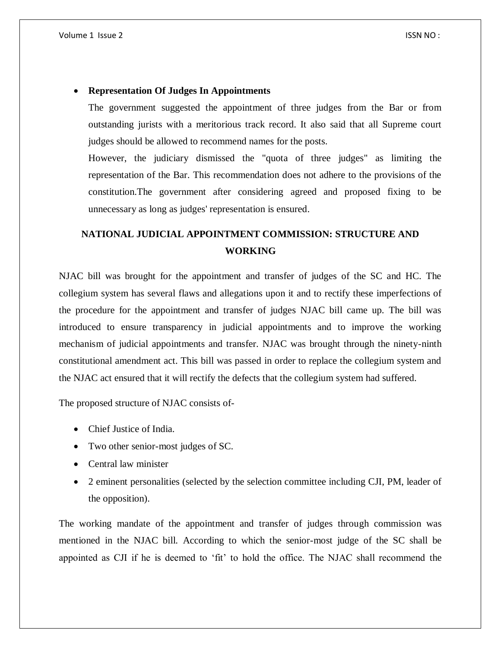#### **Representation Of Judges In Appointments**

The government suggested the appointment of three judges from the Bar or from outstanding jurists with a meritorious track record. It also said that all Supreme court judges should be allowed to recommend names for the posts.

However, the judiciary dismissed the "quota of three judges" as limiting the representation of the Bar. This recommendation does not adhere to the provisions of the constitution.The government after considering agreed and proposed fixing to be unnecessary as long as judges' representation is ensured.

# **NATIONAL JUDICIAL APPOINTMENT COMMISSION: STRUCTURE AND WORKING**

NJAC bill was brought for the appointment and transfer of judges of the SC and HC. The collegium system has several flaws and allegations upon it and to rectify these imperfections of the procedure for the appointment and transfer of judges NJAC bill came up. The bill was introduced to ensure transparency in judicial appointments and to improve the working mechanism of judicial appointments and transfer. NJAC was brought through the ninety-ninth constitutional amendment act. This bill was passed in order to replace the collegium system and the NJAC act ensured that it will rectify the defects that the collegium system had suffered.

The proposed structure of NJAC consists of-

- Chief Justice of India.
- Two other senior-most judges of SC.
- Central law minister
- 2 eminent personalities (selected by the selection committee including CJI, PM, leader of the opposition).

The working mandate of the appointment and transfer of judges through commission was mentioned in the NJAC bill. According to which the senior-most judge of the SC shall be appointed as CJI if he is deemed to 'fit' to hold the office. The NJAC shall recommend the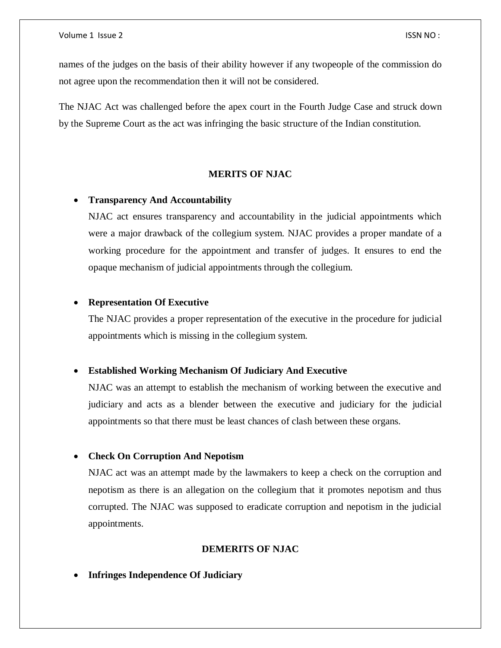names of the judges on the basis of their ability however if any twopeople of the commission do not agree upon the recommendation then it will not be considered.

The NJAC Act was challenged before the apex court in the Fourth Judge Case and struck down by the Supreme Court as the act was infringing the basic structure of the Indian constitution.

# **MERITS OF NJAC**

# **Transparency And Accountability**

NJAC act ensures transparency and accountability in the judicial appointments which were a major drawback of the collegium system. NJAC provides a proper mandate of a working procedure for the appointment and transfer of judges. It ensures to end the opaque mechanism of judicial appointments through the collegium.

#### **Representation Of Executive**

The NJAC provides a proper representation of the executive in the procedure for judicial appointments which is missing in the collegium system.

#### **Established Working Mechanism Of Judiciary And Executive**

NJAC was an attempt to establish the mechanism of working between the executive and judiciary and acts as a blender between the executive and judiciary for the judicial appointments so that there must be least chances of clash between these organs.

#### **Check On Corruption And Nepotism**

NJAC act was an attempt made by the lawmakers to keep a check on the corruption and nepotism as there is an allegation on the collegium that it promotes nepotism and thus corrupted. The NJAC was supposed to eradicate corruption and nepotism in the judicial appointments.

#### **DEMERITS OF NJAC**

**Infringes Independence Of Judiciary**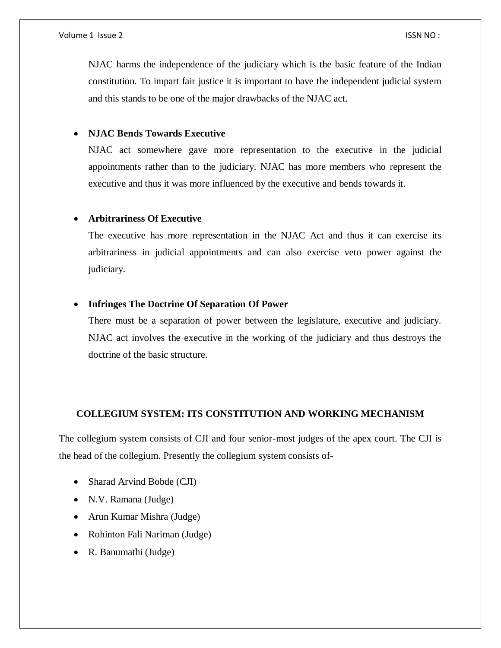NJAC harms the independence of the judiciary which is the basic feature of the Indian constitution. To impart fair justice it is important to have the independent judicial system and this stands to be one of the major drawbacks of the NJAC act.

# **NJAC Bends Towards Executive**

NJAC act somewhere gave more representation to the executive in the judicial appointments rather than to the judiciary. NJAC has more members who represent the executive and thus it was more influenced by the executive and bends towards it.

#### **Arbitrariness Of Executive**

The executive has more representation in the NJAC Act and thus it can exercise its arbitrariness in judicial appointments and can also exercise veto power against the judiciary.

#### **Infringes The Doctrine Of Separation Of Power**

There must be a separation of power between the legislature, executive and judiciary. NJAC act involves the executive in the working of the judiciary and thus destroys the doctrine of the basic structure.

# **COLLEGIUM SYSTEM: ITS CONSTITUTION AND WORKING MECHANISM**

The collegium system consists of CJI and four senior-most judges of the apex court. The CJI is the head of the collegium. Presently the collegium system consists of-

- Sharad Arvind Bobde (CJI)
- N.V. Ramana (Judge)
- Arun Kumar Mishra (Judge)
- Rohinton Fali Nariman (Judge)
- R. Banumathi (Judge)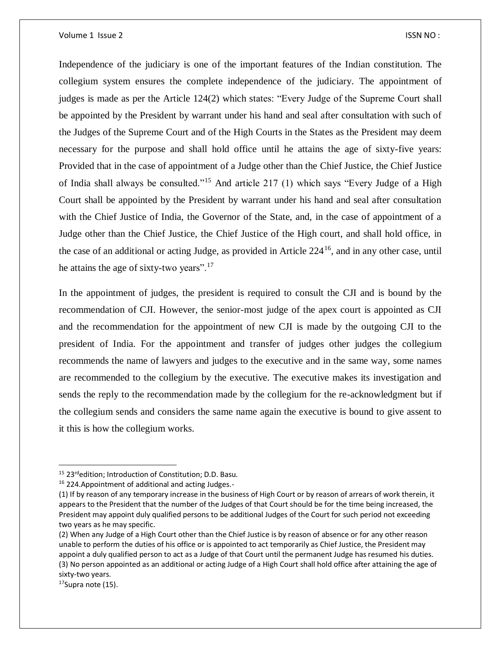Independence of the judiciary is one of the important features of the Indian constitution. The collegium system ensures the complete independence of the judiciary. The appointment of judges is made as per the Article 124(2) which states: "Every Judge of the Supreme Court shall be appointed by the President by warrant under his hand and seal after consultation with such of the Judges of the Supreme Court and of the High Courts in the States as the President may deem necessary for the purpose and shall hold office until he attains the age of sixty-five years: Provided that in the case of appointment of a Judge other than the Chief Justice, the Chief Justice of India shall always be consulted."<sup>15</sup> And article 217 (1) which says "Every Judge of a High Court shall be appointed by the President by warrant under his hand and seal after consultation with the Chief Justice of India, the Governor of the State, and, in the case of appointment of a Judge other than the Chief Justice, the Chief Justice of the High court, and shall hold office, in the case of an additional or acting Judge, as provided in Article 224<sup>16</sup>, and in any other case, until he attains the age of sixty-two years".<sup>17</sup>

In the appointment of judges, the president is required to consult the CJI and is bound by the recommendation of CJI. However, the senior-most judge of the apex court is appointed as CJI and the recommendation for the appointment of new CJI is made by the outgoing CJI to the president of India. For the appointment and transfer of judges other judges the collegium recommends the name of lawyers and judges to the executive and in the same way, some names are recommended to the collegium by the executive. The executive makes its investigation and sends the reply to the recommendation made by the collegium for the re-acknowledgment but if the collegium sends and considers the same name again the executive is bound to give assent to it this is how the collegium works.

 $\overline{\phantom{a}}$ 

<sup>&</sup>lt;sup>15</sup> 23<sup>rd</sup>edition; Introduction of Constitution; D.D. Basu.

<sup>16</sup> 224.Appointment of additional and acting Judges.-

<sup>(1)</sup> If by reason of any temporary increase in the business of High Court or by reason of arrears of work therein, it appears to the President that the number of the Judges of that Court should be for the time being increased, the President may appoint duly qualified persons to be additional Judges of the Court for such period not exceeding two years as he may specific.

<sup>(2)</sup> When any Judge of a High Court other than the Chief Justice is by reason of absence or for any other reason unable to perform the duties of his office or is appointed to act temporarily as Chief Justice, the President may appoint a duly qualified person to act as a Judge of that Court until the permanent Judge has resumed his duties. (3) No person appointed as an additional or acting Judge of a High Court shall hold office after attaining the age of sixty-two years.

 $17$ Supra note (15).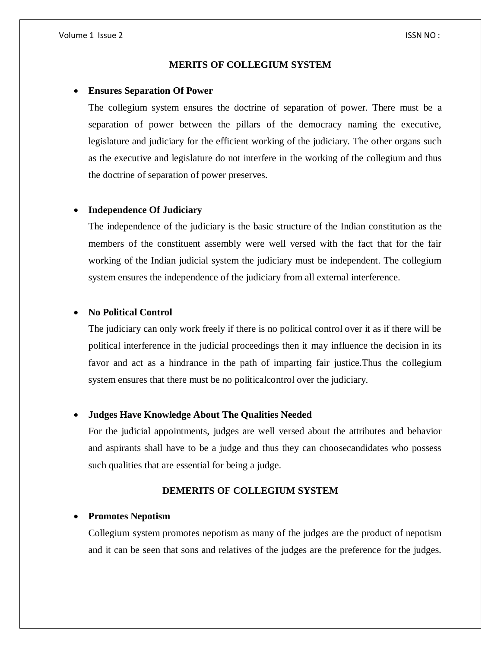#### **MERITS OF COLLEGIUM SYSTEM**

#### **Ensures Separation Of Power**

The collegium system ensures the doctrine of separation of power. There must be a separation of power between the pillars of the democracy naming the executive, legislature and judiciary for the efficient working of the judiciary. The other organs such as the executive and legislature do not interfere in the working of the collegium and thus the doctrine of separation of power preserves.

#### **Independence Of Judiciary**

The independence of the judiciary is the basic structure of the Indian constitution as the members of the constituent assembly were well versed with the fact that for the fair working of the Indian judicial system the judiciary must be independent. The collegium system ensures the independence of the judiciary from all external interference.

#### **No Political Control**

The judiciary can only work freely if there is no political control over it as if there will be political interference in the judicial proceedings then it may influence the decision in its favor and act as a hindrance in the path of imparting fair justice.Thus the collegium system ensures that there must be no politicalcontrol over the judiciary.

#### **Judges Have Knowledge About The Qualities Needed**

For the judicial appointments, judges are well versed about the attributes and behavior and aspirants shall have to be a judge and thus they can choosecandidates who possess such qualities that are essential for being a judge.

# **DEMERITS OF COLLEGIUM SYSTEM**

#### **Promotes Nepotism**

Collegium system promotes nepotism as many of the judges are the product of nepotism and it can be seen that sons and relatives of the judges are the preference for the judges.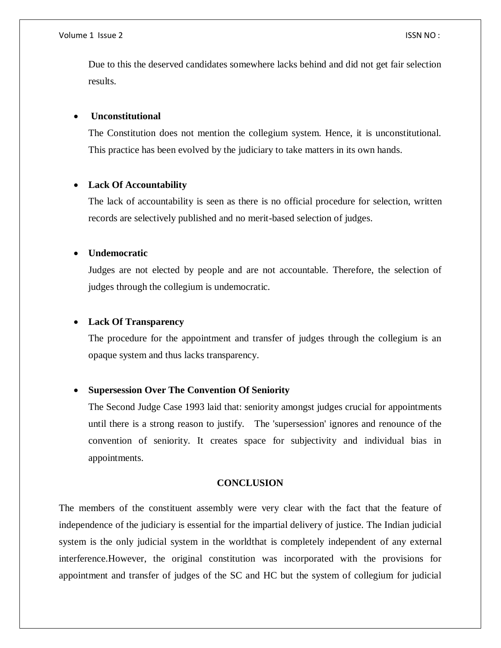#### Volume 1 Issue 2 ISSN NO :

Due to this the deserved candidates somewhere lacks behind and did not get fair selection results.

#### **Unconstitutional**

The Constitution does not mention the collegium system. Hence, it is unconstitutional. This practice has been evolved by the judiciary to take matters in its own hands.

## **Lack Of Accountability**

The lack of accountability is seen as there is no official procedure for selection, written records are selectively published and no merit-based selection of judges.

#### **Undemocratic**

Judges are not elected by people and are not accountable. Therefore, the selection of judges through the collegium is undemocratic.

# **Lack Of Transparency**

The procedure for the appointment and transfer of judges through the collegium is an opaque system and thus lacks transparency.

# **Supersession Over The Convention Of Seniority**

The Second Judge Case 1993 laid that: seniority amongst judges crucial for appointments until there is a strong reason to justify. The 'supersession' ignores and renounce of the convention of seniority. It creates space for subjectivity and individual bias in appointments.

# **CONCLUSION**

The members of the constituent assembly were very clear with the fact that the feature of independence of the judiciary is essential for the impartial delivery of justice. The Indian judicial system is the only judicial system in the worldthat is completely independent of any external interference.However, the original constitution was incorporated with the provisions for appointment and transfer of judges of the SC and HC but the system of collegium for judicial